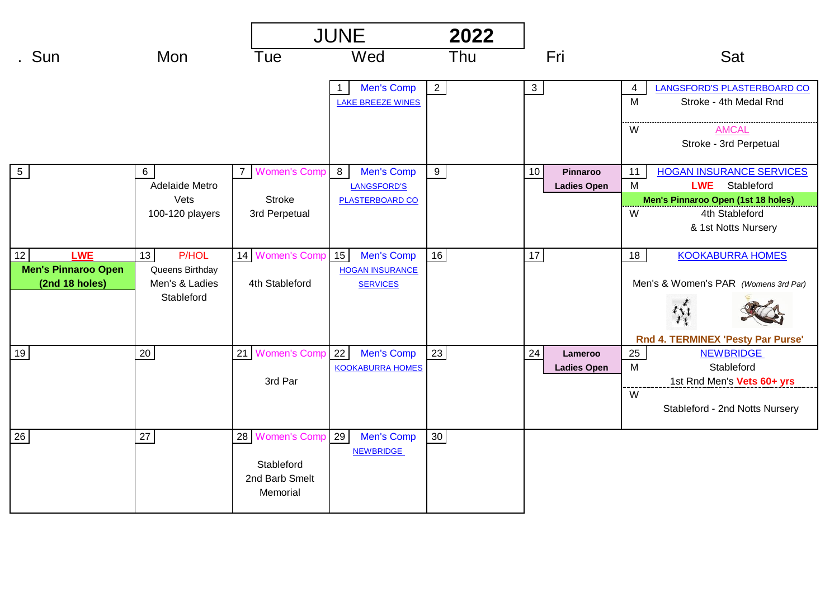|                                                |                                       |                                                                | <b>JUNE</b>                                 |                |                                      |                                                                                                                |
|------------------------------------------------|---------------------------------------|----------------------------------------------------------------|---------------------------------------------|----------------|--------------------------------------|----------------------------------------------------------------------------------------------------------------|
| . Sun                                          | Mon                                   | Tue                                                            | Wed                                         | Thu            | Fri                                  | Sat                                                                                                            |
|                                                |                                       |                                                                | Men's Comp<br><b>LAKE BREEZE WINES</b>      | $\overline{2}$ | $\overline{3}$                       | LANGSFORD'S PLASTERBOARD CO<br>4<br>M<br>Stroke - 4th Medal Rnd<br><b>AMCAL</b><br>W<br>Stroke - 3rd Perpetual |
| $5\phantom{.0}$                                | $6\overline{6}$<br>Adelaide Metro     | 7 Women's Comp                                                 | 8<br>Men's Comp<br><b>LANGSFORD'S</b>       | $9\,$          | 10<br>Pinnaroo<br><b>Ladies Open</b> | <b>HOGAN INSURANCE SERVICES</b><br>11<br>M<br><b>LWE</b><br>Stableford                                         |
|                                                | Vets<br>100-120 players               | <b>Stroke</b><br>3rd Perpetual                                 | <b>PLASTERBOARD CO</b>                      |                |                                      | Men's Pinnaroo Open (1st 18 holes)<br>W<br>4th Stableford<br>& 1st Notts Nursery                               |
| 12<br><b>LWE</b><br><b>Men's Pinnaroo Open</b> | <b>P/HOL</b><br>13<br>Queens Birthday | 14 Women's Comp 15                                             | Men's Comp<br><b>HOGAN INSURANCE</b>        | 16             | $17$                                 | <b>KOOKABURRA HOMES</b><br>18                                                                                  |
| (2nd 18 holes)                                 | Men's & Ladies<br>Stableford          | 4th Stableford                                                 | <b>SERVICES</b>                             |                |                                      | Men's & Women's PAR (Womens 3rd Par)<br>Rnd 4. TERMINEX 'Pesty Par Purse'                                      |
| 19                                             | $20\,$                                | 21 Women's Comp                                                | 22<br>Men's Comp<br><b>KOOKABURRA HOMES</b> | 23             | 24<br>Lameroo<br><b>Ladies Open</b>  | 25<br><b>NEWBRIDGE</b><br>M<br>Stableford                                                                      |
|                                                |                                       | 3rd Par                                                        |                                             |                |                                      | 1st Rnd Men's Vets 60+ yrs<br>W<br>Stableford - 2nd Notts Nursery                                              |
| 26                                             | $27\,$                                | 28 Women's Comp 29<br>Stableford<br>2nd Barb Smelt<br>Memorial | Men's Comp<br><b>NEWBRIDGE</b>              | $30\,$         |                                      |                                                                                                                |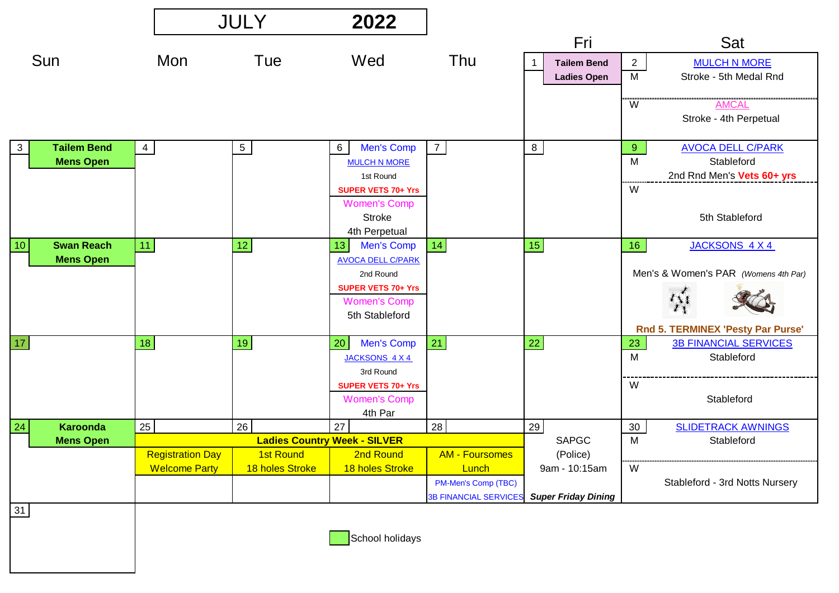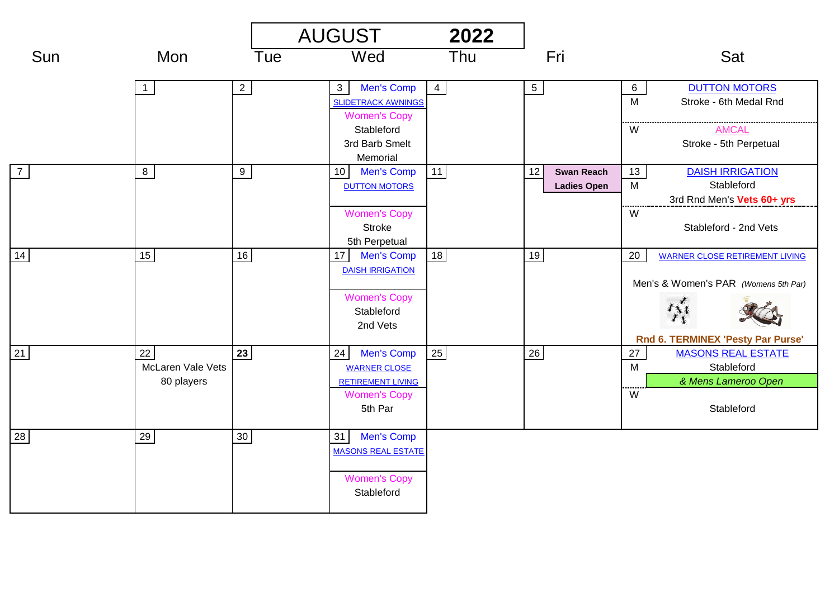|                |                                              |             | <b>AUGUST</b>                                                                                                                       | 2022           |                                               |                                                                                                                               |
|----------------|----------------------------------------------|-------------|-------------------------------------------------------------------------------------------------------------------------------------|----------------|-----------------------------------------------|-------------------------------------------------------------------------------------------------------------------------------|
| Sun            | Mon                                          | Tue         | Wed                                                                                                                                 | Thu            | Fri                                           | Sat                                                                                                                           |
|                | $\overline{1}$                               | $2^{\circ}$ | <b>Men's Comp</b><br>3 <sup>1</sup><br><b>SLIDETRACK AWNINGS</b><br><b>Women's Copy</b><br>Stableford<br>3rd Barb Smelt<br>Memorial | $\overline{4}$ | $5\overline{)}$                               | <b>DUTTON MOTORS</b><br>$6\overline{}$<br>M<br>Stroke - 6th Medal Rnd<br><b>AMCAL</b><br>W<br>Stroke - 5th Perpetual          |
| $\overline{7}$ | $8\phantom{1}$                               | 9           | Men's Comp<br>10 <sup>1</sup><br><b>DUTTON MOTORS</b><br><b>Women's Copy</b><br><b>Stroke</b><br>5th Perpetual                      | 11             | 12<br><b>Swan Reach</b><br><b>Ladies Open</b> | <b>DAISH IRRIGATION</b><br>13<br>M<br>Stableford<br>3rd Rnd Men's Vets 60+ yrs<br>W<br>Stableford - 2nd Vets                  |
| 14             | 15                                           | 16          | <b>Men's Comp</b><br>17 <sup>1</sup><br><b>DAISH IRRIGATION</b><br><b>Women's Copy</b><br>Stableford<br>2nd Vets                    | 18             | 19                                            | 20<br><b>WARNER CLOSE RETIREMENT LIVING</b><br>Men's & Women's PAR (Womens 5th Par)<br>樣<br>Rnd 6. TERMINEX 'Pesty Par Purse' |
| 21             | 22<br><b>McLaren Vale Vets</b><br>80 players | 23          | <b>Men's Comp</b><br>24<br><b>WARNER CLOSE</b><br><b>RETIREMENT LIVING</b><br><b>Women's Copy</b><br>5th Par                        | 25             | $26\,$                                        | <b>MASONS REAL ESTATE</b><br>27<br>M<br>Stableford<br>& Mens Lameroo Open<br>W<br>Stableford                                  |
| 28             | 29                                           | $30\,$      | <b>Men's Comp</b><br>31<br><b>MASONS REAL ESTATE</b><br><b>Women's Copy</b><br>Stableford                                           |                |                                               |                                                                                                                               |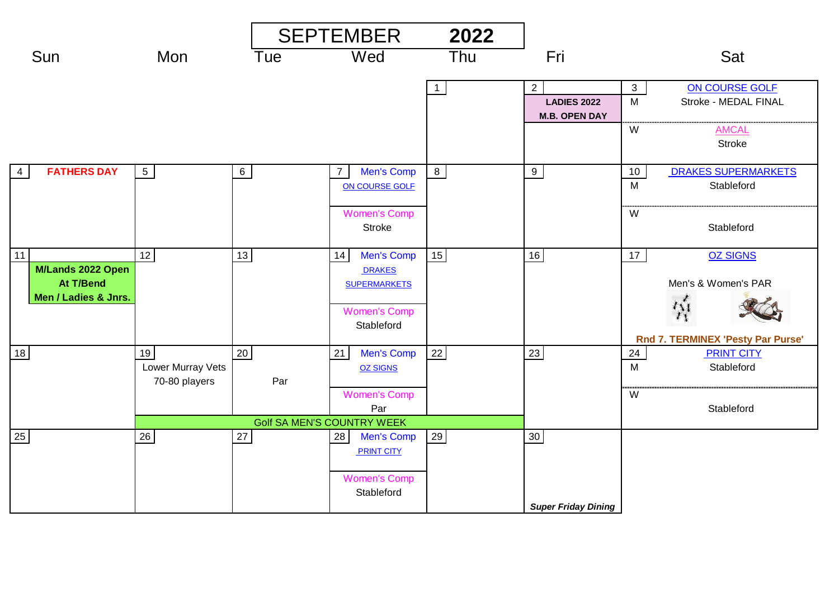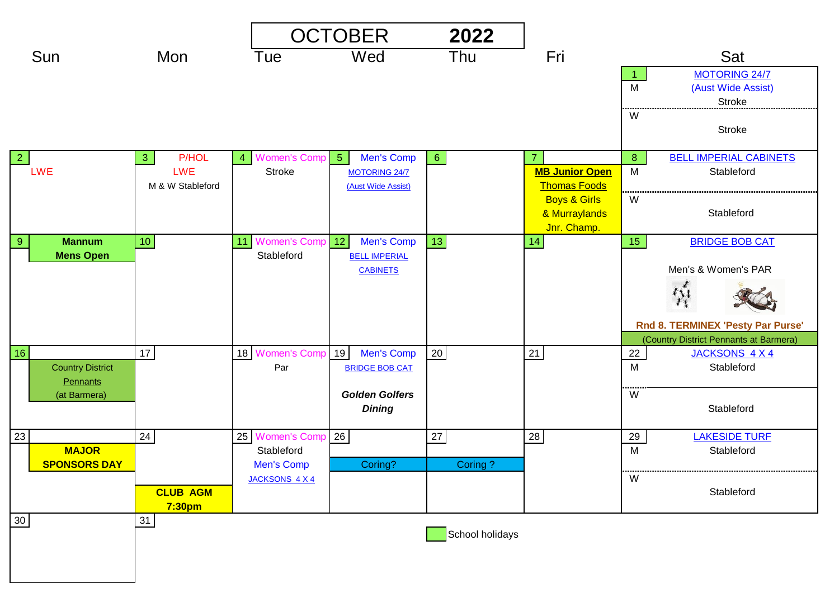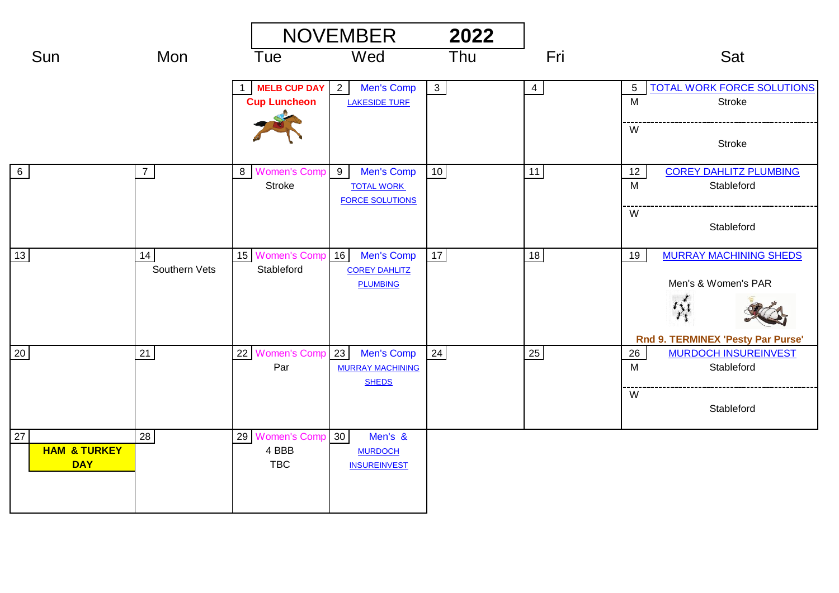|                                             |                     |                                        | <b>NOVEMBER</b><br>2022                                             |                |                |                                                                                                      |  |
|---------------------------------------------|---------------------|----------------------------------------|---------------------------------------------------------------------|----------------|----------------|------------------------------------------------------------------------------------------------------|--|
| Sun                                         | Mon                 | Tue                                    | Wed                                                                 | Thu            | Fri            | Sat                                                                                                  |  |
|                                             |                     | MELB CUP DAY 2<br><b>Cup Luncheon</b>  | Men's Comp<br><b>LAKESIDE TURF</b>                                  | 3 <sup>2</sup> | $\overline{4}$ | <b>TOTAL WORK FORCE SOLUTIONS</b><br>$\sqrt{5}$<br>M<br>Stroke<br>W<br><b>Stroke</b>                 |  |
| 6                                           | $\overline{7}$      | 8 Women's Comp<br>Stroke               | 9<br>Men's Comp<br><b>TOTAL WORK</b><br><b>FORCE SOLUTIONS</b>      | 10             | 11             | <b>COREY DAHLITZ PLUMBING</b><br>12<br>M<br>Stableford<br>W<br>Stableford                            |  |
| 13                                          | 14<br>Southern Vets | 15 Women's Comp 16<br>Stableford       | Men's Comp<br><b>COREY DAHLITZ</b><br><b>PLUMBING</b>               | 17             | 18             | <b>MURRAY MACHINING SHEDS</b><br>19<br>Men's & Women's PAR<br>桥<br>Rnd 9. TERMINEX 'Pesty Par Purse' |  |
| 20                                          | 21                  | 22 Women's Comp<br>Par                 | 23<br>Men's Comp<br><b>MURRAY MACHINING</b><br><b>SHEDS</b>         | 24             | 25             | <b>MURDOCH INSUREINVEST</b><br>26<br>Stableford<br>M<br>W<br>Stableford                              |  |
| 27<br><b>HAM &amp; TURKEY</b><br><b>DAY</b> | 28                  | 29 Women's Comp<br>4 BBB<br><b>TBC</b> | 30 <sup>°</sup><br>Men's &<br><b>MURDOCH</b><br><b>INSUREINVEST</b> |                |                |                                                                                                      |  |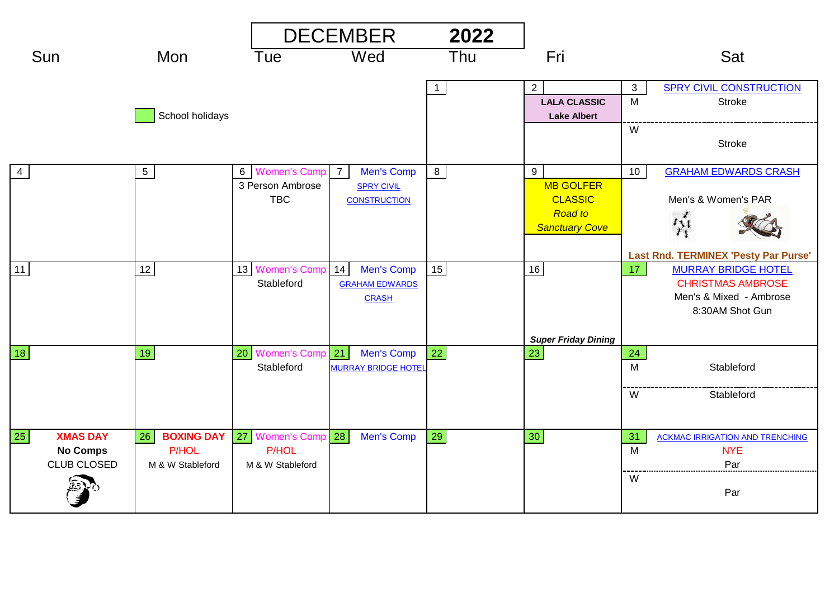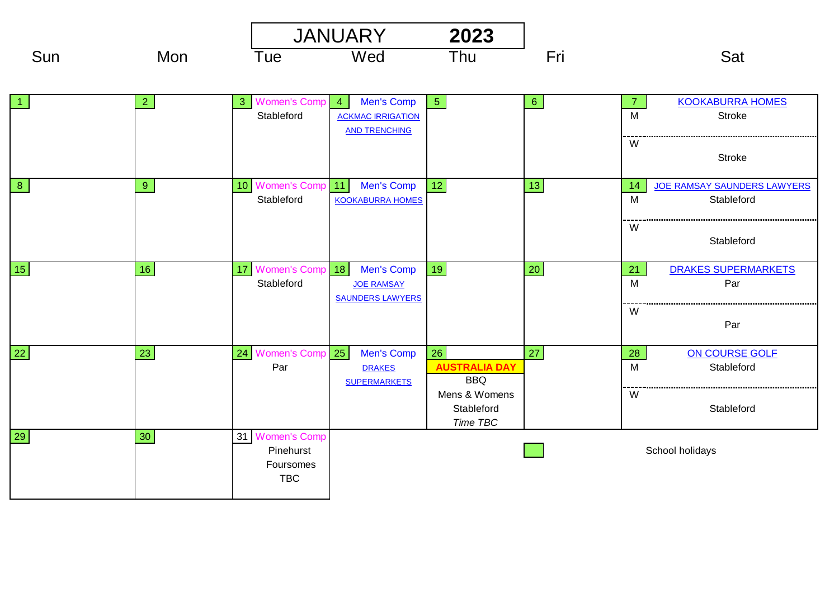|                |              |                                                         | <b>JANUARY</b><br>2023                                                                  |                                                                               |                |                          |                                                            |
|----------------|--------------|---------------------------------------------------------|-----------------------------------------------------------------------------------------|-------------------------------------------------------------------------------|----------------|--------------------------|------------------------------------------------------------|
| Sun            | Mon          | Tue                                                     | Wed                                                                                     | Thu                                                                           | Fri            |                          | Sat                                                        |
|                | $\mathbf{2}$ | <b>Women's Comp</b><br>3 <sup>°</sup><br>Stableford     | <b>Men's Comp</b><br>$\overline{4}$<br><b>ACKMAC IRRIGATION</b><br><b>AND TRENCHING</b> | 5 <sub>1</sub>                                                                | 6 <sup>°</sup> | $\overline{7}$<br>M<br>W | <b>KOOKABURRA HOMES</b><br>Stroke                          |
| 8 <sup>°</sup> | 9            | <b>Women's Comp</b><br>10 <sub>1</sub><br>Stableford    | 11<br>Men's Comp<br><b>KOOKABURRA HOMES</b>                                             | $12$                                                                          | $13$           | 14<br>M                  | <b>Stroke</b><br>JOE RAMSAY SAUNDERS LAWYERS<br>Stableford |
| 15             | 16           | <b>Women's Comp</b><br>17<br>Stableford                 | 18<br>Men's Comp<br><b>JOE RAMSAY</b><br><b>SAUNDERS LAWYERS</b>                        | 19                                                                            | 20             | W<br>21<br>M             | Stableford<br><b>DRAKES SUPERMARKETS</b><br>Par            |
| 22             | 23           | Women's Comp 25<br>24                                   | Men's Comp                                                                              | 26                                                                            | 27             | W<br>28                  | Par<br>ON COURSE GOLF                                      |
|                |              | Par                                                     | <b>DRAKES</b><br><b>SUPERMARKETS</b>                                                    | <b>AUSTRALIA DAY</b><br><b>BBQ</b><br>Mens & Womens<br>Stableford<br>Time TBC |                | $\overline{M}$<br>W      | Stableford<br>Stableford                                   |
| 29             | 30           | 31 Women's Comp<br>Pinehurst<br>Foursomes<br><b>TBC</b> |                                                                                         |                                                                               |                | School holidays          |                                                            |